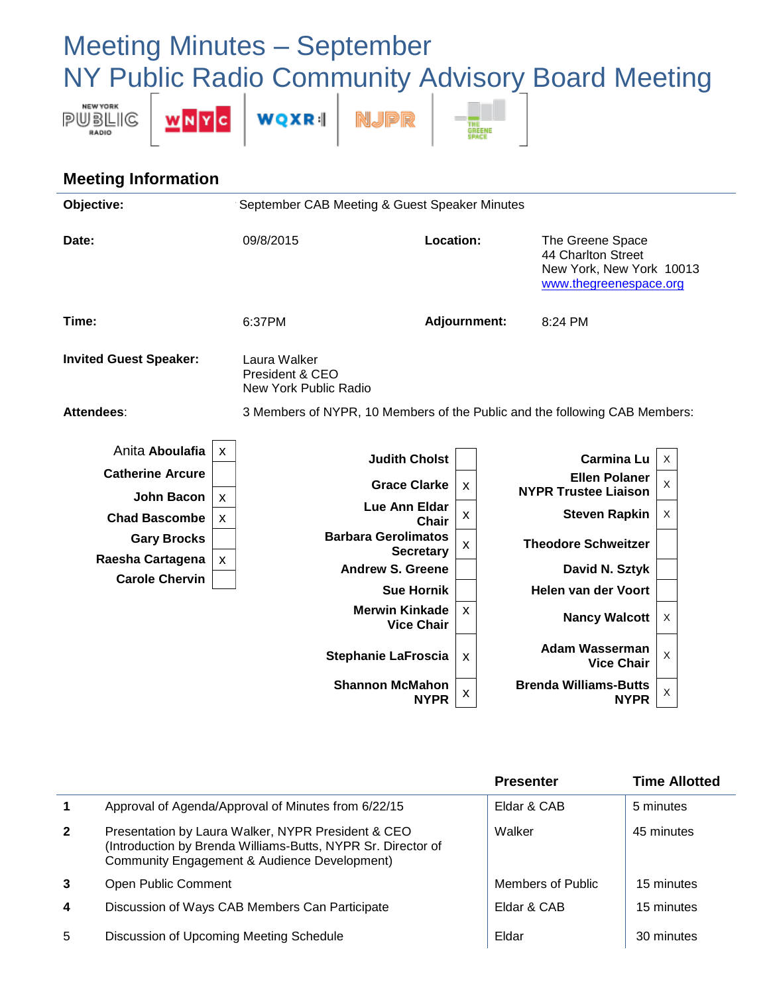## Meeting Minutes – September NY Public Radio Community Advisory Board Meeting



## **Meeting Information**

| Objective:                                                                                                                                                                                                                     | September CAB Meeting & Guest Speaker Minutes                                                                                                                                                                |                           |  |                                                                                                                                                                                                                          |                  |  |
|--------------------------------------------------------------------------------------------------------------------------------------------------------------------------------------------------------------------------------|--------------------------------------------------------------------------------------------------------------------------------------------------------------------------------------------------------------|---------------------------|--|--------------------------------------------------------------------------------------------------------------------------------------------------------------------------------------------------------------------------|------------------|--|
| Date:                                                                                                                                                                                                                          | 09/8/2015                                                                                                                                                                                                    | <b>Location:</b>          |  | The Greene Space<br>44 Charlton Street<br>New York, New York 10013<br>www.thegreenespace.org                                                                                                                             |                  |  |
| Time:                                                                                                                                                                                                                          | 6:37PM                                                                                                                                                                                                       | <b>Adjournment:</b>       |  | 8:24 PM                                                                                                                                                                                                                  |                  |  |
| <b>Invited Guest Speaker:</b>                                                                                                                                                                                                  | Laura Walker<br>President & CEO<br>New York Public Radio                                                                                                                                                     |                           |  |                                                                                                                                                                                                                          |                  |  |
| Attendees:                                                                                                                                                                                                                     | 3 Members of NYPR, 10 Members of the Public and the following CAB Members:                                                                                                                                   |                           |  |                                                                                                                                                                                                                          |                  |  |
| Anita Aboulafia<br>$\boldsymbol{\mathsf{X}}$<br><b>Catherine Arcure</b><br><b>John Bacon</b><br>$\boldsymbol{\mathsf{X}}$<br><b>Chad Bascombe</b><br>X<br><b>Gary Brocks</b><br>Raesha Cartagena<br>X<br><b>Carole Chervin</b> | <b>Judith Cholst</b><br><b>Grace Clarke</b><br>Lue Ann Eldar<br><b>Barbara Gerolimatos</b><br><b>Secretary</b><br><b>Andrew S. Greene</b><br><b>Sue Hornik</b><br><b>Merwin Kinkade</b><br><b>Vice Chair</b> | X<br>X<br>Chair<br>X<br>X |  | <b>Carmina Lu</b><br><b>Ellen Polaner</b><br><b>NYPR Trustee Liaison</b><br><b>Steven Rapkin</b><br><b>Theodore Schweitzer</b><br>David N. Sztyk<br>Helen van der Voort<br><b>Nancy Walcott</b><br><b>Adam Wasserman</b> | X<br>X<br>X<br>X |  |
|                                                                                                                                                                                                                                | <b>Stephanie LaFroscia</b><br><b>Shannon McMahon</b>                                                                                                                                                         | X                         |  | <b>Vice Chair</b><br><b>Brenda Williams-Butts</b>                                                                                                                                                                        | $\times$         |  |
|                                                                                                                                                                                                                                |                                                                                                                                                                                                              | x<br><b>NYPR</b>          |  | <b>NYPR</b>                                                                                                                                                                                                              | X                |  |

|                         |                                                                                                                                                                    | <b>Presenter</b>  | <b>Time Allotted</b> |
|-------------------------|--------------------------------------------------------------------------------------------------------------------------------------------------------------------|-------------------|----------------------|
| $\mathbf{1}$            | Approval of Agenda/Approval of Minutes from 6/22/15                                                                                                                | Eldar & CAB       | 5 minutes            |
| $\overline{2}$          | Presentation by Laura Walker, NYPR President & CEO<br>(Introduction by Brenda Williams-Butts, NYPR Sr. Director of<br>Community Engagement & Audience Development) | Walker            | 45 minutes           |
| 3                       | Open Public Comment                                                                                                                                                | Members of Public | 15 minutes           |
| $\overline{\mathbf{4}}$ | Discussion of Ways CAB Members Can Participate                                                                                                                     | Eldar & CAB       | 15 minutes           |
| 5                       | Discussion of Upcoming Meeting Schedule                                                                                                                            | Eldar             | 30 minutes           |